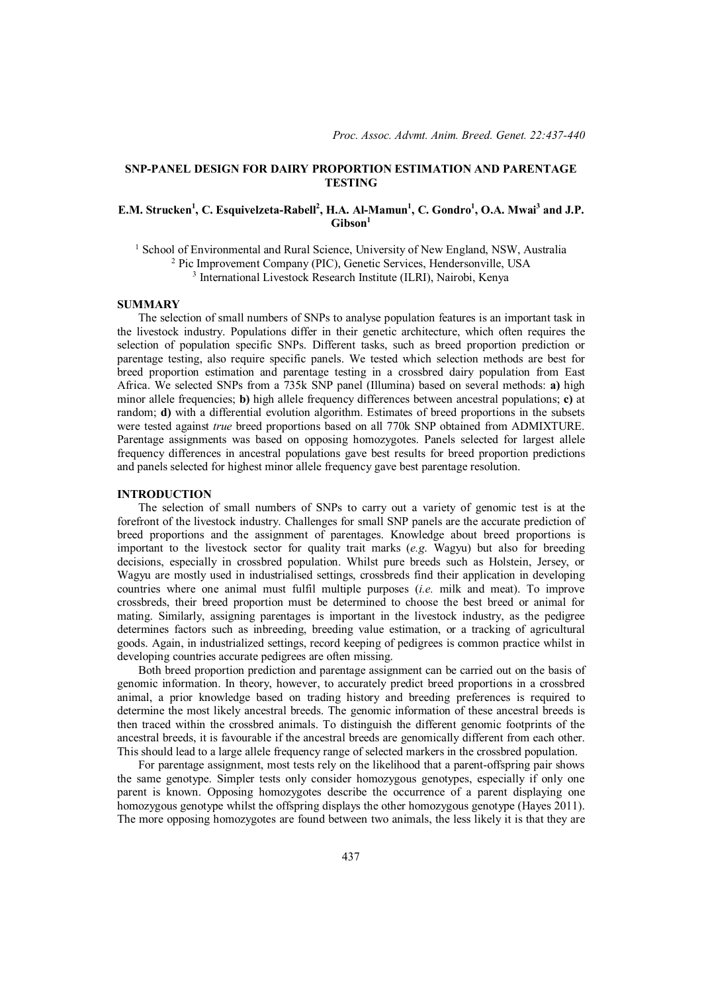# **SNP-PANEL DESIGN FOR DAIRY PROPORTION ESTIMATION AND PARENTAGE TESTING**

# **E.M. Strucken<sup>1</sup>, C. Esquivelzeta-Rabell<sup>2</sup>, H.A. Al-Mamun<sup>1</sup>, C. Gondro<sup>1</sup>, O.A. Mwai<sup>3</sup> and J.P. Gibson1**

<sup>1</sup> School of Environmental and Rural Science, University of New England, NSW, Australia <sup>2</sup> Pic Improvement Company (PIC), Genetic Services, Hendersonville, USA <sup>3</sup> International Livestock Research Institute (ILRI), Nairobi, Kenya

### **SUMMARY**

The selection of small numbers of SNPs to analyse population features is an important task in the livestock industry. Populations differ in their genetic architecture, which often requires the selection of population specific SNPs. Different tasks, such as breed proportion prediction or parentage testing, also require specific panels. We tested which selection methods are best for breed proportion estimation and parentage testing in a crossbred dairy population from East Africa. We selected SNPs from a 735k SNP panel (Illumina) based on several methods: **a)** high minor allele frequencies; **b)** high allele frequency differences between ancestral populations; **c)** at random; **d)** with a differential evolution algorithm. Estimates of breed proportions in the subsets were tested against *true* breed proportions based on all 770k SNP obtained from ADMIXTURE. Parentage assignments was based on opposing homozygotes. Panels selected for largest allele frequency differences in ancestral populations gave best results for breed proportion predictions and panels selected for highest minor allele frequency gave best parentage resolution.

### **INTRODUCTION**

The selection of small numbers of SNPs to carry out a variety of genomic test is at the forefront of the livestock industry. Challenges for small SNP panels are the accurate prediction of breed proportions and the assignment of parentages. Knowledge about breed proportions is important to the livestock sector for quality trait marks (*e.g*. Wagyu) but also for breeding decisions, especially in crossbred population. Whilst pure breeds such as Holstein, Jersey, or Wagyu are mostly used in industrialised settings, crossbreds find their application in developing countries where one animal must fulfil multiple purposes (*i.e.* milk and meat). To improve crossbreds, their breed proportion must be determined to choose the best breed or animal for mating. Similarly, assigning parentages is important in the livestock industry, as the pedigree determines factors such as inbreeding, breeding value estimation, or a tracking of agricultural goods. Again, in industrialized settings, record keeping of pedigrees is common practice whilst in developing countries accurate pedigrees are often missing.

Both breed proportion prediction and parentage assignment can be carried out on the basis of genomic information. In theory, however, to accurately predict breed proportions in a crossbred animal, a prior knowledge based on trading history and breeding preferences is required to determine the most likely ancestral breeds. The genomic information of these ancestral breeds is then traced within the crossbred animals. To distinguish the different genomic footprints of the ancestral breeds, it is favourable if the ancestral breeds are genomically different from each other. This should lead to a large allele frequency range of selected markers in the crossbred population.

For parentage assignment, most tests rely on the likelihood that a parent-offspring pair shows the same genotype. Simpler tests only consider homozygous genotypes, especially if only one parent is known. Opposing homozygotes describe the occurrence of a parent displaying one homozygous genotype whilst the offspring displays the other homozygous genotype (Hayes 2011). The more opposing homozygotes are found between two animals, the less likely it is that they are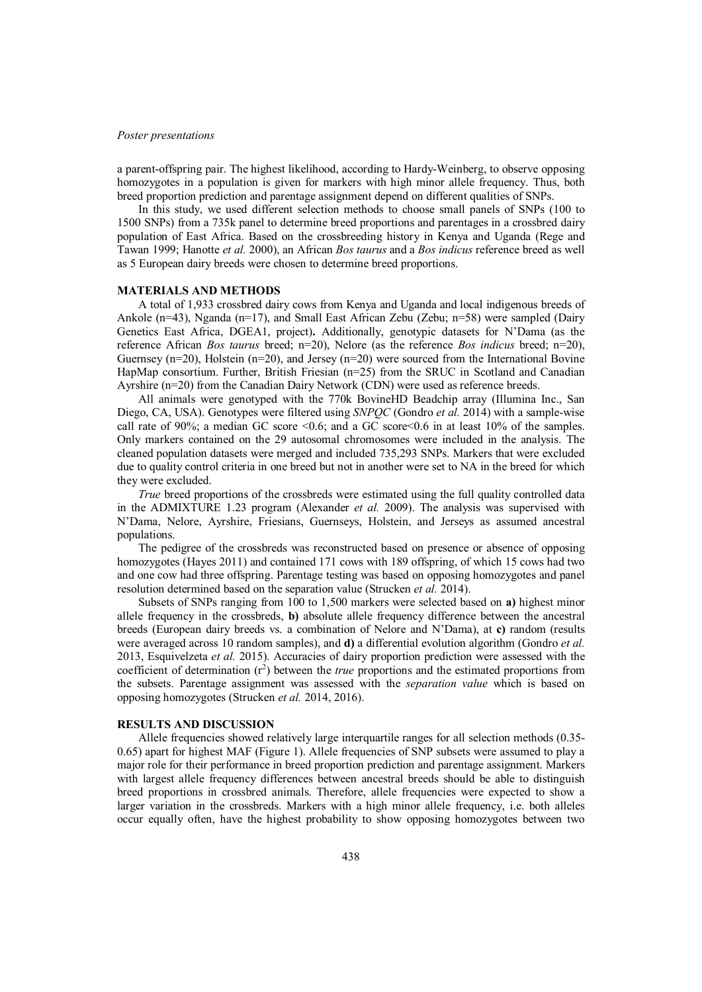#### *Poster presentations*

a parent-offspring pair. The highest likelihood, according to Hardy-Weinberg, to observe opposing homozygotes in a population is given for markers with high minor allele frequency. Thus, both breed proportion prediction and parentage assignment depend on different qualities of SNPs.

In this study, we used different selection methods to choose small panels of SNPs (100 to 1500 SNPs) from a 735k panel to determine breed proportions and parentages in a crossbred dairy population of East Africa. Based on the crossbreeding history in Kenya and Uganda (Rege and Tawan 1999; Hanotte *et al.* 2000), an African *Bos taurus* and a *Bos indicus* reference breed as well as 5 European dairy breeds were chosen to determine breed proportions.

### **MATERIALS AND METHODS**

A total of 1,933 crossbred dairy cows from Kenya and Uganda and local indigenous breeds of Ankole (n=43), Nganda (n=17), and Small East African Zebu (Zebu; n=58) were sampled (Dairy Genetics East Africa, DGEA1, project)**.** Additionally, genotypic datasets for N'Dama (as the reference African *Bos taurus* breed; n=20), Nelore (as the reference *Bos indicus* breed; n=20), Guernsey (n=20), Holstein (n=20), and Jersey (n=20) were sourced from the International Bovine HapMap consortium. Further, British Friesian (n=25) from the SRUC in Scotland and Canadian Ayrshire (n=20) from the Canadian Dairy Network (CDN) were used as reference breeds.

All animals were genotyped with the 770k BovineHD Beadchip array (Illumina Inc., San Diego, CA, USA). Genotypes were filtered using *SNPQC* (Gondro *et al.* 2014) with a sample-wise call rate of 90%; a median GC score  $<0.6$ ; and a GC score $<0.6$  in at least 10% of the samples. Only markers contained on the 29 autosomal chromosomes were included in the analysis. The cleaned population datasets were merged and included 735,293 SNPs. Markers that were excluded due to quality control criteria in one breed but not in another were set to NA in the breed for which they were excluded.

*True* breed proportions of the crossbreds were estimated using the full quality controlled data in the ADMIXTURE 1.23 program (Alexander *et al.* 2009). The analysis was supervised with N'Dama, Nelore, Ayrshire, Friesians, Guernseys, Holstein, and Jerseys as assumed ancestral populations.

The pedigree of the crossbreds was reconstructed based on presence or absence of opposing homozygotes (Hayes 2011) and contained 171 cows with 189 offspring, of which 15 cows had two and one cow had three offspring. Parentage testing was based on opposing homozygotes and panel resolution determined based on the separation value (Strucken *et al.* 2014).

Subsets of SNPs ranging from 100 to 1,500 markers were selected based on **a)** highest minor allele frequency in the crossbreds, **b)** absolute allele frequency difference between the ancestral breeds (European dairy breeds vs. a combination of Nelore and N'Dama), at **c)** random (results were averaged across 10 random samples), and **d)** a differential evolution algorithm (Gondro *et al.* 2013, Esquivelzeta *et al.* 2015). Accuracies of dairy proportion prediction were assessed with the coefficient of determination (r<sup>2</sup>) between the *true* proportions and the estimated proportions from the subsets. Parentage assignment was assessed with the *separation value* which is based on opposing homozygotes (Strucken *et al.* 2014, 2016).

#### **RESULTS AND DISCUSSION**

Allele frequencies showed relatively large interquartile ranges for all selection methods (0.35- 0.65) apart for highest MAF (Figure 1). Allele frequencies of SNP subsets were assumed to play a major role for their performance in breed proportion prediction and parentage assignment. Markers with largest allele frequency differences between ancestral breeds should be able to distinguish breed proportions in crossbred animals. Therefore, allele frequencies were expected to show a larger variation in the crossbreds. Markers with a high minor allele frequency, i.e. both alleles occur equally often, have the highest probability to show opposing homozygotes between two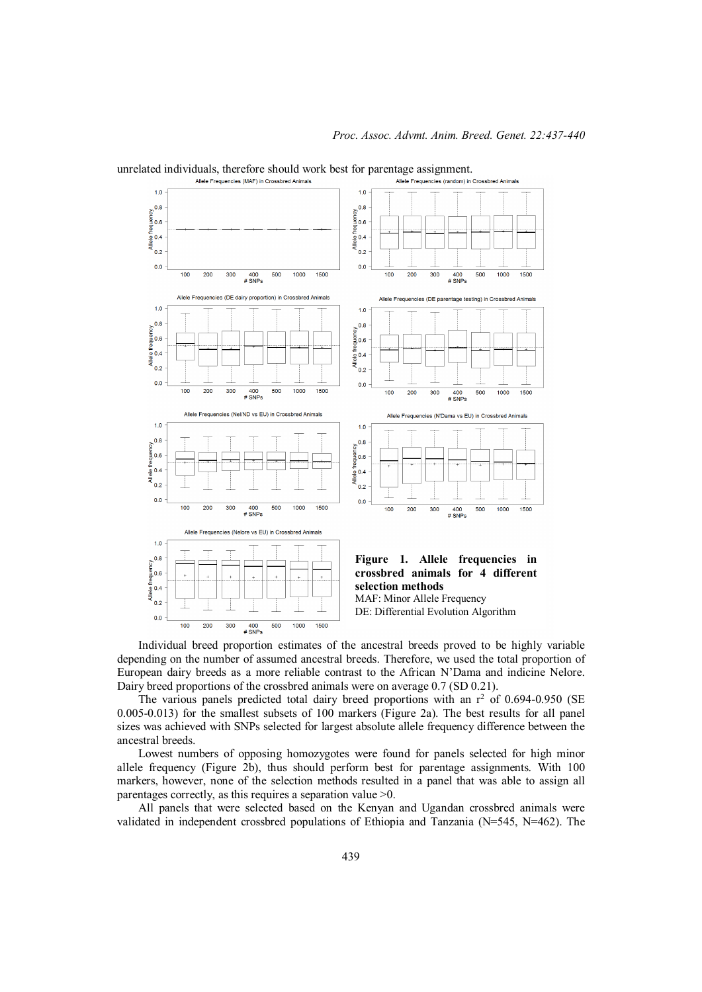

Individual breed proportion estimates of the ancestral breeds proved to be highly variable depending on the number of assumed ancestral breeds. Therefore, we used the total proportion of European dairy breeds as a more reliable contrast to the African N'Dama and indicine Nelore. Dairy breed proportions of the crossbred animals were on average 0.7 (SD 0.21).

The various panels predicted total dairy breed proportions with an  $r^2$  of 0.694-0.950 (SE 0.005-0.013) for the smallest subsets of 100 markers (Figure 2a). The best results for all panel sizes was achieved with SNPs selected for largest absolute allele frequency difference between the ancestral breeds.

Lowest numbers of opposing homozygotes were found for panels selected for high minor allele frequency (Figure 2b), thus should perform best for parentage assignments. With 100 markers, however, none of the selection methods resulted in a panel that was able to assign all parentages correctly, as this requires a separation value >0.

All panels that were selected based on the Kenyan and Ugandan crossbred animals were validated in independent crossbred populations of Ethiopia and Tanzania (N=545, N=462). The